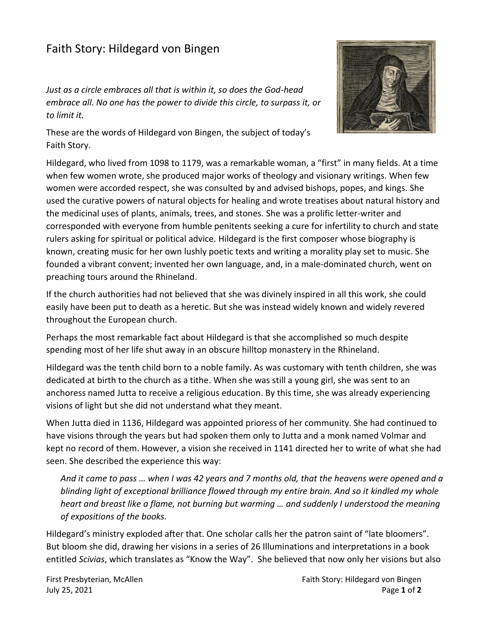## Faith Story: Hildegard von Bingen

*Just as a circle embraces all that is within it, so does the God-head embrace all. No one has the power to divide this circle, to surpass it, or to limit it.*



These are the words of Hildegard von Bingen, the subject of today's Faith Story.

Hildegard, who lived from 1098 to 1179, was a remarkable woman, a "first" in many fields. At a time when few women wrote, she produced major works of theology and visionary writings. When few women were accorded respect, she was consulted by and advised bishops, popes, and kings. She used the curative powers of natural objects for healing and wrote treatises about natural history and the medicinal uses of plants, animals, trees, and stones. She was a prolific letter-writer and corresponded with everyone from humble penitents seeking a cure for infertility to church and state rulers asking for spiritual or political advice. Hildegard is the first composer whose biography is known, creating music for her own lushly poetic texts and writing a morality play set to music. She founded a vibrant convent; invented her own language, and, in a male-dominated church, went on preaching tours around the Rhineland.

If the church authorities had not believed that she was divinely inspired in all this work, she could easily have been put to death as a heretic. But she was instead widely known and widely revered throughout the European church.

Perhaps the most remarkable fact about Hildegard is that she accomplished so much despite spending most of her life shut away in an obscure hilltop monastery in the Rhineland.

Hildegard was the tenth child born to a noble family. As was customary with tenth children, she was dedicated at birth to the church as a tithe. When she was still a young girl, she was sent to an anchoress named Jutta to receive a religious education. By this time, she was already experiencing visions of light but she did not understand what they meant.

When Jutta died in 1136, Hildegard was appointed prioress of her community. She had continued to have visions through the years but had spoken them only to Jutta and a monk named Volmar and kept no record of them. However, a vision she received in 1141 directed her to write of what she had seen. She described the experience this way:

*And it came to pass … when I was 42 years and 7 months old, that the heavens were opened and a blinding light of exceptional brilliance flowed through my entire brain. And so it kindled my whole heart and breast like a flame, not burning but warming … and suddenly I understood the meaning of expositions of the books.*

Hildegard's ministry exploded after that. One scholar calls her the patron saint of "late bloomers". But bloom she did, drawing her visions in a series of 26 Illuminations and interpretations in a book entitled *Scivias*, which translates as "Know the Way". She believed that now only her visions but also

First Presbyterian, McAllen Faith Story: Hildegard von Bingen July 25, 2021 Page **1** of **2**